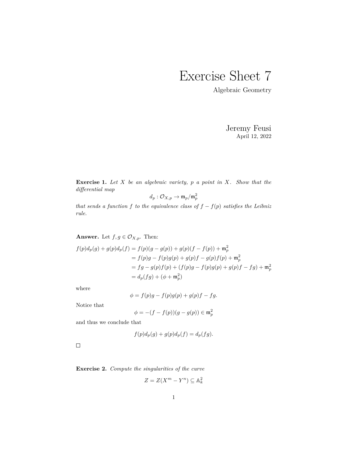## Exercise Sheet 7

Algebraic Geometry

Jeremy Feusi April 12, 2022

**Exercise 1.** *Let X be an algebraic variety, p a point in X. Show that the differential map*

$$
d_p: \mathcal O_{X,p} \to \mathfrak m_p/\mathfrak m_p^2
$$

*that sends a function*  $f$  *to the equivalence class of*  $f - f(p)$  *satisfies the Leibniz rule.*

**Answer.** Let  $f, g \in \mathcal{O}_{X,p}$ . Then:

$$
f(p)d_p(g) + g(p)d_p(f) = f(p)(g - g(p)) + g(p)(f - f(p)) + \mathfrak{m}_p^2
$$
  
=  $f(p)g - f(p)g(p) + g(p)f - g(p)f(p) + \mathfrak{m}_p^2$   
=  $fg - g(p)f(p) + (f(p)g - f(p)g(p) + g(p)f - fg) + \mathfrak{m}_p^2$   
=  $d_p(fg) + (\phi + \mathfrak{m}_p^2)$ 

where

$$
\phi = f(p)g - f(p)g(p) + g(p)f - fg.
$$

Notice that

$$
\phi = -(f - f(p))(g - g(p)) \in \mathfrak{m}_p^2
$$

and thus we conclude that

$$
f(p)d_p(g) + g(p)d_p(f) = d_p(fg).
$$

 $\Box$ 

**Exercise 2.** *Compute the singularities of the curve*

$$
Z = Z(X^m - Y^n) \subseteq \mathbb{A}_k^2
$$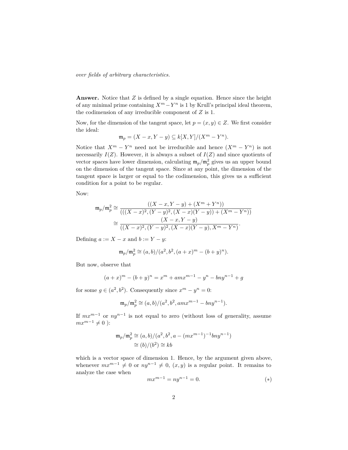*over fields of arbitrary characteristics.*

**Answer.** Notice that *Z* is defined by a single equation. Hence since the height of any minimal prime containing  $X^m - Y^n$  is 1 by Krull's principal ideal theorem, the codimension of any irreducible component of *Z* is 1.

Now, for the dimension of the tangent space, let  $p = (x, y) \in Z$ . We first consider the ideal:

$$
\mathfrak{m}_p = (X - x, Y - y) \subseteq k[X, Y]/(X^m - Y^n).
$$

Notice that  $X^m - Y^n$  need not be irreducible and hence  $(X^m - Y^n)$  is not necessarily  $I(Z)$ . However, it is always a subset of  $I(Z)$  and since quotients of vector spaces have lower dimension, calculating  $\mathfrak{m}_p/\mathfrak{m}_p^2$  gives us an upper bound on the dimension of the tangent space. Since at any point, the dimension of the tangent space is larger or equal to the codimension, this gives us a sufficient condition for a point to be regular.

Now:

$$
\mathfrak{m}_p/\mathfrak{m}_p^2 \cong \frac{((X-x, Y-y) + (X^m + Y^n))}{(((X-x)^2, (Y-y)^2, (X-x)(Y-y)) + (X^m - Y^n))}
$$

$$
\cong \frac{(X-x, Y-y)}{((X-x)^2, (Y-y)^2, (X-x)(Y-y), X^m - Y^n)}.
$$

Defining  $a := X - x$  and  $b := Y - y$ :

$$
\mathfrak{m}_p/\mathfrak{m}_p^2 \cong (a,b)/(a^2,b^2,(a+x)^m-(b+y)^n).
$$

But now, observe that

$$
(a+x)^m - (b+y)^n = x^m + amx^{m-1} - y^n - bny^{n-1} + g
$$

for some  $g \in (a^2, b^2)$ . Consequently since  $x^m - y^n = 0$ :

$$
\mathfrak{m}_p/\mathfrak{m}_p^2 \cong (a, b)/(a^2, b^2, amx^{m-1} - bny^{n-1}).
$$

If *mx<sup>m</sup>*−<sup>1</sup> or *ny<sup>n</sup>*−<sup>1</sup> is not equal to zero (without loss of generality, assume  $mx^{m-1} \neq 0$  ):

$$
\mathfrak{m}_p/\mathfrak{m}_p^2 \cong (a, b)/(a^2, b^2, a - (mx^{m-1})^{-1}bny^{n-1})
$$
  

$$
\cong (b)/(b^2) \cong kb
$$

which is a vector space of dimension 1. Hence, by the argument given above, whenever  $mx^{m-1} \neq 0$  or  $ny^{n-1} \neq 0$ ,  $(x, y)$  is a regular point. It remains to analyze the case when

$$
mx^{m-1} = ny^{n-1} = 0.
$$
 (\*)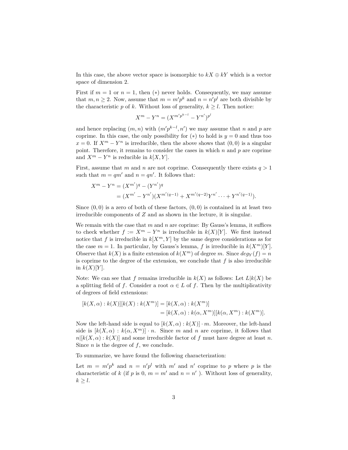In this case, the above vector space is isomorphic to  $kX \oplus kY$  which is a vector space of dimension 2.

First if  $m = 1$  or  $n = 1$ , then  $(*)$  never holds. Consequently, we may assume that  $m, n \geq 2$ . Now, assume that  $m = m'p^k$  and  $n = n'p^l$  are both divisible by the characteristic *p* of *k*. Without loss of generality,  $k \geq l$ . Then notice:

$$
X^{m} - Y^{n} = (X^{m'p^{k-l}} - Y^{n'})^{p^{l}}
$$

and hence replacing  $(m, n)$  with  $(m'p^{k-l}, n')$  we may assume that *n* and *p* are coprime. In this case, the only possibility for  $(*)$  to hold is  $y = 0$  and thus too  $x = 0$ . If  $X^m - Y^n$  is irreducible, then the above shows that  $(0,0)$  is a singular point. Therefore, it remains to consider the cases in which *n* and *p* are coprime and  $X^m - Y^n$  is reducible in  $k[X, Y]$ .

First, assume that *m* and *n* are not coprime. Consequently there exists  $q > 1$ such that  $m = qm'$  and  $n = qn'$ . It follows that:

$$
X^{m} - Y^{n} = (X^{m'})^{q} - (Y^{n'})^{q}
$$
  
=  $(X^{m'} - Y^{n'})(X^{m'(q-1)} + X^{m'(q-2)}Y^{n'} \cdots + Y^{n'(q-1)}).$ 

Since  $(0,0)$  is a zero of both of these factors,  $(0,0)$  is contained in at least two irreducible components of *Z* and as shown in the lecture, it is singular.

We remain with the case that  $m$  and  $n$  are coprime: By Gauss's lemma, it suffices to check whether  $f := X^m - Y^n$  is irreducible in  $k(X)[Y]$ . We first instead notice that f is irreducible in  $k[X<sup>m</sup>, Y]$  by the same degree considerations as for the case  $m = 1$ . In particular, by Gauss's lemma,  $f$  is irreducible in  $k(X^m)[Y]$ . Observe that  $k(X)$  is a finite extension of  $k(X^m)$  of degree *m*. Since  $deg_Y(f) = n$ is coprime to the degree of the extension, we conclude that  $f$  is also irreducible in  $k(X)[Y]$ .

Note: We can see that *f* remains irreducible in  $k(X)$  as follows: Let  $L|k(X)$  be a splitting field of *f*. Consider a root  $\alpha \in L$  of *f*. Then by the multiplicativity of degrees of field extensions:

$$
[k(X, \alpha) : k(X)][k(X) : k(Xm)] = [k(X, \alpha) : k(Xm)]
$$
  
= 
$$
[k(X, \alpha) : k(\alpha, Xm)][k(\alpha, Xm) : k(Xm)].
$$

Now the left-hand side is equal to  $[k(X, \alpha): k(X)] \cdot m$ . Moreover, the left-hand side is  $[k(X, \alpha) : k(\alpha, X^m)] \cdot n$ . Since *m* and *n* are coprime, it follows that  $n[k(X, \alpha): k(X)]$  and some irreducible factor of *f* must have degree at least *n*. Since *n* is the degree of *f*, we conclude.

To summarize, we have found the following characterization:

Let  $m = m'p^k$  and  $n = n'p^l$  with  $m'$  and  $n'$  coprime to p where p is the characteristic of *k* (if *p* is 0,  $m = m'$  and  $n = n'$ ). Without loss of generality,  $k \geq l$ .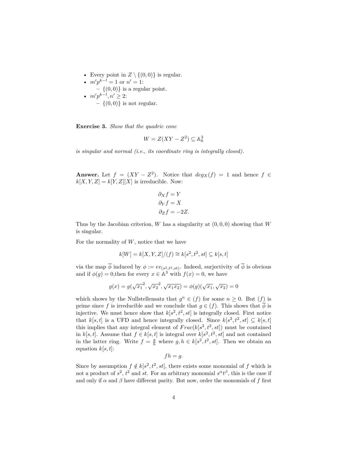• Every point in  $Z \setminus \{(0,0)\}\$ is regular. •  $m'p^{k-l} = 1$  or  $n' = 1$ : **–** {(0*,* 0)} is a regular point. •  $m'p^{k-l}, n' \geq 2$ : **–** {(0*,* 0)} is not regular.

**Exercise 3.** *Show that the quadric cone*

$$
W = Z(XY - Z^2) \subseteq \mathbb{A}_k^3
$$

*is singular and normal (i.e., its coordinate ring is integrally closed).*

**Answer.** Let  $f = (XY - Z^2)$ . Notice that  $deg_X(f) = 1$  and hence  $f \in$  $k[X, Y, Z] = k[Y, Z][X]$  is irreducible. Now:

$$
\partial_X f = Y
$$
  
\n
$$
\partial_Y f = X
$$
  
\n
$$
\partial_Z f = -2Z.
$$

Thus by the Jacobian criterion, *W* has a singularity at (0*,* 0*,* 0) showing that *W* is singular.

For the normality of *W*, notice that we have

$$
k[W] = k[X, Y, Z]/(f) \cong k[s^2, t^2, st] \subseteq k[s, t]
$$

via the map  $\phi$  induced by  $\phi := ev_{(s^2, t^2, st)}$ . Indeed, surjectivity of  $\phi$  is obvious and if  $\phi(g) = 0$ , then for every  $x \in \mathbb{A}^3$  with  $f(x) = 0$ , we have

$$
g(x) = g(\sqrt{x_1}^2, \sqrt{x_2}^2, \sqrt{x_1 x_2}) = \phi(g)(\sqrt{x_1}, \sqrt{x_2}) = 0
$$

which shows by the Nullstellensatz that  $g^n \in (f)$  for some  $n \geq 0$ . But  $(f)$  is prime since *f* is irreducible and we conclude that  $g \in (f)$ . This shows that  $\overline{\phi}$  is injective. We must hence show that  $k[s^2, t^2, st]$  is integrally closed. First notice that  $k[s,t]$  is a UFD and hence integrally closed. Since  $k[s^2,t^2, st] \subseteq k[s,t]$ this implies that any integral element of  $Frac(k[s^2, t^2, st])$  must be contained in *k*[*s, t*]. Assume that  $f \in k[s, t]$  is integral over  $k[s^2, t^2, st]$  and not contained in the latter ring. Write  $f = \frac{g}{h}$  where  $g, h \in k[s^2, t^2, st]$ . Then we obtain an equation  $k[s, t]$ :

$$
fh = g.
$$

Since by assumption  $f \notin k[s^2, t^2, st]$ , there exists some monomial of  $f$  which is not a product of  $s^2$ ,  $t^2$  and  $st$ . For an arbitrary monomial  $s^{\alpha}t^{\beta}$ , this is the case if and only if  $\alpha$  and  $\beta$  have different parity. But now, order the monomials of  $f$  first